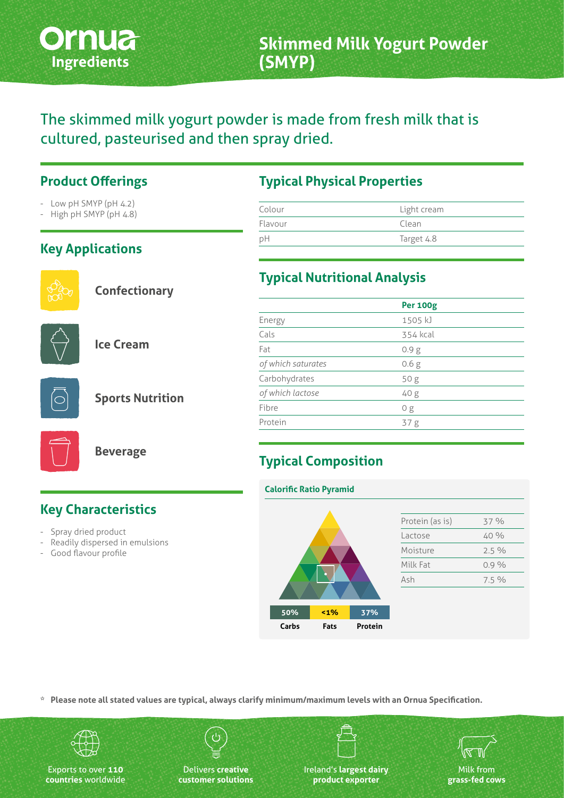

# The skimmed milk yogurt powder is made from fresh milk that is cultured, pasteurised and then spray dried.

#### **Product Offerings**

- Low pH SMYP (pH 4.2)
- High pH SMYP (pH 4.8)

## **Key Applications**



**Confectionary**



**Ice Cream**



**Sports Nutrition**



**Beverage**

# **Key Characteristics**

- Spray dried product
- Readily dispersed in emulsions
- Good flavour profile

### **Typical Physical Properties**

| Colour  | Light cream |  |
|---------|-------------|--|
| Flavour | Clean       |  |
| рH      | Target 4.8  |  |

#### **Typical Nutritional Analysis**

|                    | <b>Per 100g</b>  |  |
|--------------------|------------------|--|
| Energy             | 1505 kJ          |  |
| Cals               | 354 kcal         |  |
| Fat                | 0.9 <sub>g</sub> |  |
| of which saturates | 0.6 <sub>g</sub> |  |
| Carbohydrates      | 50g              |  |
| of which lactose   | 40 g             |  |
| Fibre              | 0 <sub>g</sub>   |  |
| Protein            | 37g              |  |
|                    |                  |  |

# **Typical Composition**

#### **Calorific Ratio Pyramid**



| Protein (as is) | 37 %    |
|-----------------|---------|
| Lactose         | 40 %    |
| Moisture        | $2.5\%$ |
| Milk Fat        | $0.9\%$ |
| Ash             | $7.5\%$ |

**\* Please note all stated values are typical, always clarify minimum/maximum levels with an Ornua Specification.**



Exports to over **110 countries** worldwide

Delivers **creative customer solutions** Ireland's **largest dairy product exporter**